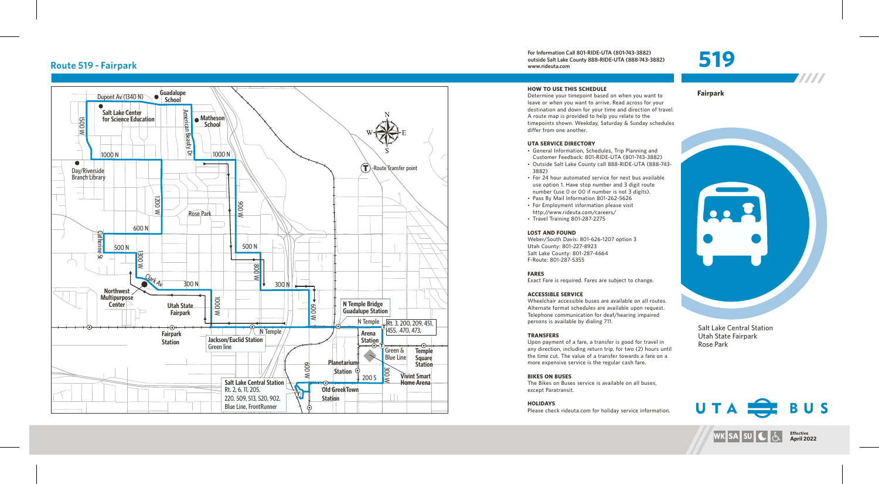## **Route 519 - Fairpark**



**For Information Call 80 1-RIDE-UTA (80 1 -743-3882) outside Salt Lake County 888-RIDE-UTA (888-743-3882) www.rideuta. com**

**HOW TO USE THIS SCHEDULE** Determine your timepoint based on when you want leave or when you want to arrive. Read across for your destination and down for your time and direction of travel. A route map is provided to help you relate to the timepoints shown. Weekday, Saturday & Sunday schedules differ from one another.

#### **UTA SERVICE DIRECTO RY**

- General Information, Schedules, Trip Planning and Customer Feedback: 801-RIDE-UTA (801-743-3882)
- Outside Salt Lake County call 888-RIDE-UTA (888-743-3 8 8 2 )
- For 24 hour automated service for next bus available use option 1. Have stop number and 3 digit route number (use 0 or 00 if number is not 3 digits).
- Pass By Mail Information 801-262-5626
- For Employment information please visit http://www.rideuta.com/careers/
- $\cdot$  Travel Training 801-287-2275

### **LOST AND FOUND**

Weber/South Davis: 801-626-1207 option 3 Utah County: 801-227-8923 Salt Lake County: 801-287-4664 F-Route: 801-287-5355

### **FARES**

Exact Fare is required. Fares are subject to change.

### **ACCESSIBLE SERVICE**

Wheelchair accessible buses are available on all routes. Alternate format schedules are available upon request. Telephone communication for deaf/hearing impaired persons is available by dialing 711.

### **TRANSFERS**

Upon payment of a fare, a transfer is good for travel in<br>any direction, including return trip, for two (2) hours until the time cut. The value of a transfer towards a fare on a more expensive service is the regular cash fare.

### **BIKES ON BUSES**

The Bikes on Buses service is available on all buses, except Paratransit.

### **HOLIDAYS**

Please check rideuta.com for holiday service information.

**Fairpark** 

519



W

Salt Lake Central Station Utah State Fairpark Rose Park